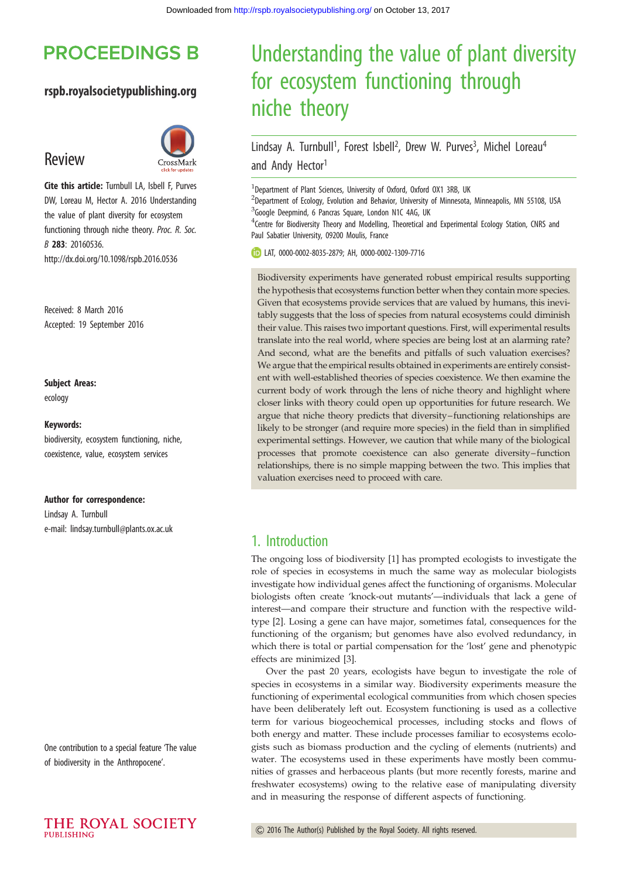# **PROCEEDINGS B**

#### rspb.royalsocietypublishing.org

# Review



Cite this article: Turnbull LA, Isbell F, Purves DW, Loreau M, Hector A. 2016 Understanding the value of plant diversity for ecosystem functioning through niche theory. Proc. R. Soc. B 283: 20160536. http://dx.doi.org/10.1098/rspb.2016.0536

Received: 8 March 2016 Accepted: 19 September 2016

#### Subject Areas:

ecology

#### Keywords:

biodiversity, ecosystem functioning, niche, coexistence, value, ecosystem services

#### Author for correspondence:

Lindsay A. Turnbull e-mail: [lindsay.turnbull@plants.ox.ac.uk](mailto:lindsay.turnbull@plants.ox.ac.uk)

One contribution to a special feature 'The value of biodiversity in the Anthropocene'.



# Understanding the value of plant diversity for ecosystem functioning through niche theory

## Lindsay A. Turnbull<sup>1</sup>, Forest Isbell<sup>2</sup>, Drew W. Purves<sup>3</sup>, Michel Loreau<sup>4</sup> and Andy Hector<sup>1</sup>

<sup>1</sup>Department of Plant Sciences, University of Oxford, Oxford OX1 3RB, UK

<sup>2</sup>Department of Ecology, Evolution and Behavior, University of Minnesota, Minneapolis, MN 55108, USA <sup>3</sup>Google Deepmind, 6 Pancras Square, London N1C 4AG, UK

<sup>4</sup>Centre for Biodiversity Theory and Modelling, Theoretical and Experimental Ecology Station, CNRS and Paul Sabatier University, 09200 Moulis, France

LAT, [0000-0002-8035-2879;](http://orcid.org/0000-0002-8035-2879) AH, [0000-0002-1309-7716](http://orcid.org/0000-0002-1309-7716)

Biodiversity experiments have generated robust empirical results supporting the hypothesis that ecosystems function better when they contain more species. Given that ecosystems provide services that are valued by humans, this inevitably suggests that the loss of species from natural ecosystems could diminish their value. This raises two important questions. First, will experimental results translate into the real world, where species are being lost at an alarming rate? And second, what are the benefits and pitfalls of such valuation exercises? We argue that the empirical results obtained in experiments are entirely consistent with well-established theories of species coexistence. We then examine the current body of work through the lens of niche theory and highlight where closer links with theory could open up opportunities for future research. We argue that niche theory predicts that diversity– functioning relationships are likely to be stronger (and require more species) in the field than in simplified experimental settings. However, we caution that while many of the biological processes that promote coexistence can also generate diversity–function relationships, there is no simple mapping between the two. This implies that valuation exercises need to proceed with care.

#### 1. Introduction

The ongoing loss of biodiversity [\[1\]](#page-5-0) has prompted ecologists to investigate the role of species in ecosystems in much the same way as molecular biologists investigate how individual genes affect the functioning of organisms. Molecular biologists often create 'knock-out mutants'—individuals that lack a gene of interest—and compare their structure and function with the respective wildtype [\[2\]](#page-5-0). Losing a gene can have major, sometimes fatal, consequences for the functioning of the organism; but genomes have also evolved redundancy, in which there is total or partial compensation for the 'lost' gene and phenotypic effects are minimized [\[3\]](#page-6-0).

Over the past 20 years, ecologists have begun to investigate the role of species in ecosystems in a similar way. Biodiversity experiments measure the functioning of experimental ecological communities from which chosen species have been deliberately left out. Ecosystem functioning is used as a collective term for various biogeochemical processes, including stocks and flows of both energy and matter. These include processes familiar to ecosystems ecologists such as biomass production and the cycling of elements (nutrients) and water. The ecosystems used in these experiments have mostly been communities of grasses and herbaceous plants (but more recently forests, marine and freshwater ecosystems) owing to the relative ease of manipulating diversity and in measuring the response of different aspects of functioning.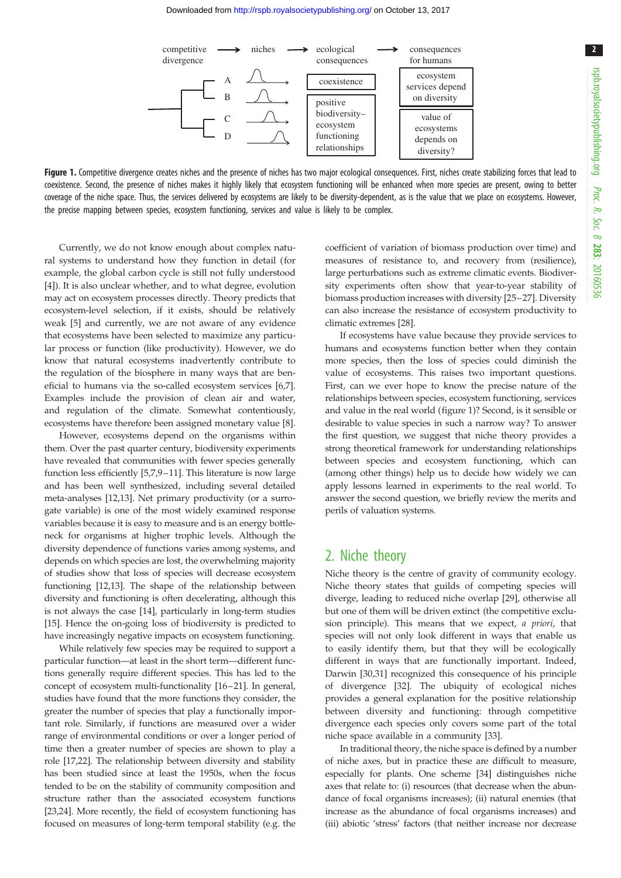2



Figure 1. Competitive divergence creates niches and the presence of niches has two major ecological consequences. First, niches create stabilizing forces that lead to coexistence. Second, the presence of niches makes it highly likely that ecosystem functioning will be enhanced when more species are present, owing to better coverage of the niche space. Thus, the services delivered by ecosystems are likely to be diversity-dependent, as is the value that we place on ecosystems. However, the precise mapping between species, ecosystem functioning, services and value is likely to be complex.

Currently, we do not know enough about complex natural systems to understand how they function in detail (for example, the global carbon cycle is still not fully understood [\[4\]](#page-6-0)). It is also unclear whether, and to what degree, evolution may act on ecosystem processes directly. Theory predicts that ecosystem-level selection, if it exists, should be relatively weak [\[5\]](#page-6-0) and currently, we are not aware of any evidence that ecosystems have been selected to maximize any particular process or function (like productivity). However, we do know that natural ecosystems inadvertently contribute to the regulation of the biosphere in many ways that are beneficial to humans via the so-called ecosystem services [\[6,7](#page-6-0)]. Examples include the provision of clean air and water, and regulation of the climate. Somewhat contentiously, ecosystems have therefore been assigned monetary value [[8](#page-6-0)].

However, ecosystems depend on the organisms within them. Over the past quarter century, biodiversity experiments have revealed that communities with fewer species generally function less efficiently [[5](#page-6-0),[7,9](#page-6-0)–[11\]](#page-6-0). This literature is now large and has been well synthesized, including several detailed meta-analyses [[12,13\]](#page-6-0). Net primary productivity (or a surrogate variable) is one of the most widely examined response variables because it is easy to measure and is an energy bottleneck for organisms at higher trophic levels. Although the diversity dependence of functions varies among systems, and depends on which species are lost, the overwhelming majority of studies show that loss of species will decrease ecosystem functioning [[12,13](#page-6-0)]. The shape of the relationship between diversity and functioning is often decelerating, although this is not always the case [[14\]](#page-6-0), particularly in long-term studies [\[15](#page-6-0)]. Hence the on-going loss of biodiversity is predicted to have increasingly negative impacts on ecosystem functioning.

While relatively few species may be required to support a particular function—at least in the short term—different functions generally require different species. This has led to the concept of ecosystem multi-functionality [\[16](#page-6-0)–[21](#page-6-0)]. In general, studies have found that the more functions they consider, the greater the number of species that play a functionally important role. Similarly, if functions are measured over a wider range of environmental conditions or over a longer period of time then a greater number of species are shown to play a role [[17,22\]](#page-6-0). The relationship between diversity and stability has been studied since at least the 1950s, when the focus tended to be on the stability of community composition and structure rather than the associated ecosystem functions [\[23,24](#page-6-0)]. More recently, the field of ecosystem functioning has focused on measures of long-term temporal stability (e.g. the

coefficient of variation of biomass production over time) and measures of resistance to, and recovery from (resilience), large perturbations such as extreme climatic events. Biodiversity experiments often show that year-to-year stability of biomass production increases with diversity [\[25](#page-6-0)–[27](#page-6-0)]. Diversity can also increase the resistance of ecosystem productivity to climatic extremes [\[28](#page-6-0)].

If ecosystems have value because they provide services to humans and ecosystems function better when they contain more species, then the loss of species could diminish the value of ecosystems. This raises two important questions. First, can we ever hope to know the precise nature of the relationships between species, ecosystem functioning, services and value in the real world (figure 1)? Second, is it sensible or desirable to value species in such a narrow way? To answer the first question, we suggest that niche theory provides a strong theoretical framework for understanding relationships between species and ecosystem functioning, which can (among other things) help us to decide how widely we can apply lessons learned in experiments to the real world. To answer the second question, we briefly review the merits and perils of valuation systems.

### 2. Niche theory

Niche theory is the centre of gravity of community ecology. Niche theory states that guilds of competing species will diverge, leading to reduced niche overlap [\[29](#page-6-0)], otherwise all but one of them will be driven extinct (the competitive exclusion principle). This means that we expect, a priori, that species will not only look different in ways that enable us to easily identify them, but that they will be ecologically different in ways that are functionally important. Indeed, Darwin [\[30,31](#page-6-0)] recognized this consequence of his principle of divergence [[32\]](#page-6-0). The ubiquity of ecological niches provides a general explanation for the positive relationship between diversity and functioning: through competitive divergence each species only covers some part of the total niche space available in a community [[33\]](#page-6-0).

In traditional theory, the niche space is defined by a number of niche axes, but in practice these are difficult to measure, especially for plants. One scheme [[34](#page-6-0)] distinguishes niche axes that relate to: (i) resources (that decrease when the abundance of focal organisms increases); (ii) natural enemies (that increase as the abundance of focal organisms increases) and (iii) abiotic 'stress' factors (that neither increase nor decrease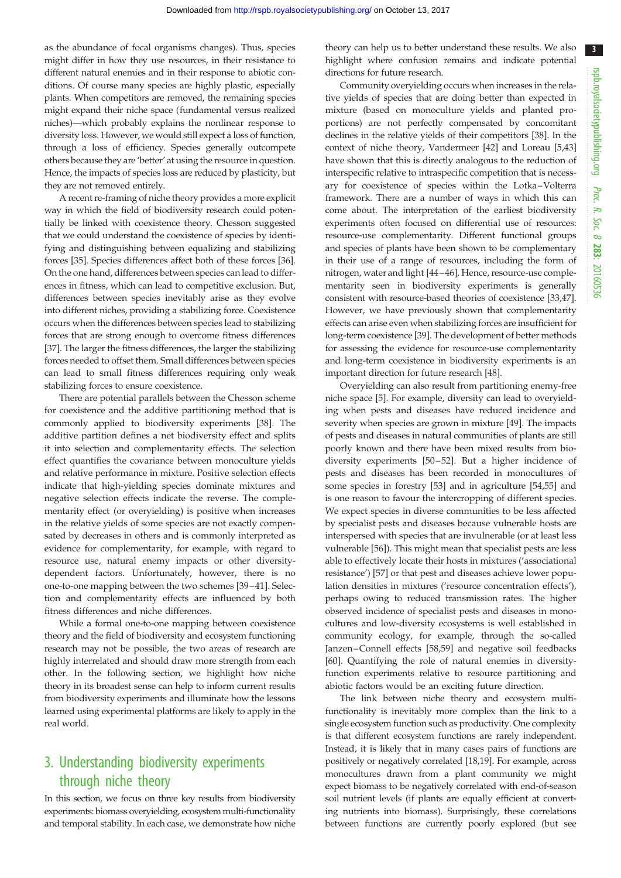3

as the abundance of focal organisms changes). Thus, species might differ in how they use resources, in their resistance to different natural enemies and in their response to abiotic conditions. Of course many species are highly plastic, especially plants. When competitors are removed, the remaining species might expand their niche space (fundamental versus realized niches)—which probably explains the nonlinear response to diversity loss. However, we would still expect a loss of function, through a loss of efficiency. Species generally outcompete others because they are 'better' at using the resource in question. Hence, the impacts of species loss are reduced by plasticity, but they are not removed entirely.

A recent re-framing of niche theory provides a more explicit way in which the field of biodiversity research could potentially be linked with coexistence theory. Chesson suggested that we could understand the coexistence of species by identifying and distinguishing between equalizing and stabilizing forces [[35\]](#page-6-0). Species differences affect both of these forces [\[36](#page-6-0)]. On the one hand, differences between species can lead to differences in fitness, which can lead to competitive exclusion. But, differences between species inevitably arise as they evolve into different niches, providing a stabilizing force. Coexistence occurs when the differences between species lead to stabilizing forces that are strong enough to overcome fitness differences [\[37](#page-6-0)]. The larger the fitness differences, the larger the stabilizing forces needed to offset them. Small differences between species can lead to small fitness differences requiring only weak stabilizing forces to ensure coexistence.

There are potential parallels between the Chesson scheme for coexistence and the additive partitioning method that is commonly applied to biodiversity experiments [[38\]](#page-6-0). The additive partition defines a net biodiversity effect and splits it into selection and complementarity effects. The selection effect quantifies the covariance between monoculture yields and relative performance in mixture. Positive selection effects indicate that high-yielding species dominate mixtures and negative selection effects indicate the reverse. The complementarity effect (or overyielding) is positive when increases in the relative yields of some species are not exactly compensated by decreases in others and is commonly interpreted as evidence for complementarity, for example, with regard to resource use, natural enemy impacts or other diversitydependent factors. Unfortunately, however, there is no one-to-one mapping between the two schemes [\[39](#page-6-0)–[41\]](#page-6-0). Selection and complementarity effects are influenced by both fitness differences and niche differences.

While a formal one-to-one mapping between coexistence theory and the field of biodiversity and ecosystem functioning research may not be possible, the two areas of research are highly interrelated and should draw more strength from each other. In the following section, we highlight how niche theory in its broadest sense can help to inform current results from biodiversity experiments and illuminate how the lessons learned using experimental platforms are likely to apply in the real world.

## 3. Understanding biodiversity experiments through niche theory

In this section, we focus on three key results from biodiversity experiments: biomass overyielding, ecosystem multi-functionality and temporal stability. In each case, we demonstrate how niche theory can help us to better understand these results. We also highlight where confusion remains and indicate potential directions for future research.

Community overyielding occurs when increases in the relative yields of species that are doing better than expected in mixture (based on monoculture yields and planted proportions) are not perfectly compensated by concomitant declines in the relative yields of their competitors [[38\]](#page-6-0). In the context of niche theory, Vandermeer [[42\]](#page-6-0) and Loreau [\[5,43\]](#page-6-0) have shown that this is directly analogous to the reduction of interspecific relative to intraspecific competition that is necessary for coexistence of species within the Lotka–Volterra framework. There are a number of ways in which this can come about. The interpretation of the earliest biodiversity experiments often focused on differential use of resources: resource-use complementarity. Different functional groups and species of plants have been shown to be complementary in their use of a range of resources, including the form of nitrogen, water and light [[44](#page-6-0)–[46\]](#page-6-0). Hence, resource-use complementarity seen in biodiversity experiments is generally consistent with resource-based theories of coexistence [[33,47\]](#page-6-0). However, we have previously shown that complementarity effects can arise even when stabilizing forces are insufficient for long-term coexistence [\[39](#page-6-0)]. The development of better methods for assessing the evidence for resource-use complementarity and long-term coexistence in biodiversity experiments is an important direction for future research [[48\]](#page-6-0).

Overyielding can also result from partitioning enemy-free niche space [[5](#page-6-0)]. For example, diversity can lead to overyielding when pests and diseases have reduced incidence and severity when species are grown in mixture [\[49](#page-6-0)]. The impacts of pests and diseases in natural communities of plants are still poorly known and there have been mixed results from biodiversity experiments [[50](#page-6-0) –[52](#page-7-0)]. But a higher incidence of pests and diseases has been recorded in monocultures of some species in forestry [[53\]](#page-7-0) and in agriculture [[54,55](#page-7-0)] and is one reason to favour the intercropping of different species. We expect species in diverse communities to be less affected by specialist pests and diseases because vulnerable hosts are interspersed with species that are invulnerable (or at least less vulnerable [[56\]](#page-7-0)). This might mean that specialist pests are less able to effectively locate their hosts in mixtures ('associational resistance') [\[57](#page-7-0)] or that pest and diseases achieve lower population densities in mixtures ('resource concentration effects'), perhaps owing to reduced transmission rates. The higher observed incidence of specialist pests and diseases in monocultures and low-diversity ecosystems is well established in community ecology, for example, through the so-called Janzen –Connell effects [[58,59\]](#page-7-0) and negative soil feedbacks [[60\]](#page-7-0). Quantifying the role of natural enemies in diversityfunction experiments relative to resource partitioning and abiotic factors would be an exciting future direction.

The link between niche theory and ecosystem multifunctionality is inevitably more complex than the link to a single ecosystem function such as productivity. One complexity is that different ecosystem functions are rarely independent. Instead, it is likely that in many cases pairs of functions are positively or negatively correlated [\[18,19\]](#page-6-0). For example, across monocultures drawn from a plant community we might expect biomass to be negatively correlated with end-of-season soil nutrient levels (if plants are equally efficient at converting nutrients into biomass). Surprisingly, these correlations between functions are currently poorly explored (but see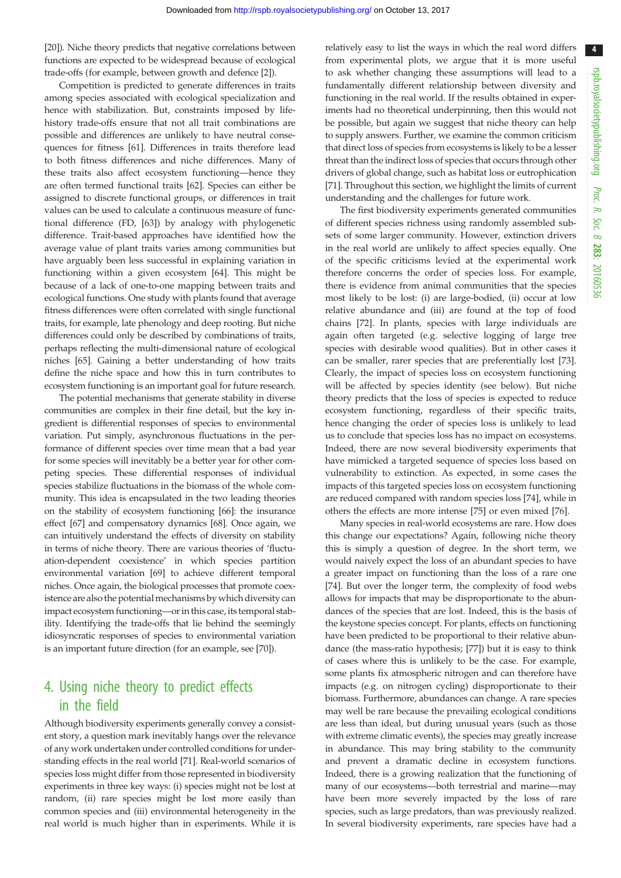[\[20](#page-6-0)]). Niche theory predicts that negative correlations between functions are expected to be widespread because of ecological trade-offs (for example, between growth and defence [\[2](#page-5-0)]).

Competition is predicted to generate differences in traits among species associated with ecological specialization and hence with stabilization. But, constraints imposed by lifehistory trade-offs ensure that not all trait combinations are possible and differences are unlikely to have neutral consequences for fitness [[61\]](#page-7-0). Differences in traits therefore lead to both fitness differences and niche differences. Many of these traits also affect ecosystem functioning—hence they are often termed functional traits [[62\]](#page-7-0). Species can either be assigned to discrete functional groups, or differences in trait values can be used to calculate a continuous measure of functional difference (FD, [[63\]](#page-7-0)) by analogy with phylogenetic difference. Trait-based approaches have identified how the average value of plant traits varies among communities but have arguably been less successful in explaining variation in functioning within a given ecosystem [[64\]](#page-7-0). This might be because of a lack of one-to-one mapping between traits and ecological functions. One study with plants found that average fitness differences were often correlated with single functional traits, for example, late phenology and deep rooting. But niche differences could only be described by combinations of traits, perhaps reflecting the multi-dimensional nature of ecological niches [[65\]](#page-7-0). Gaining a better understanding of how traits define the niche space and how this in turn contributes to ecosystem functioning is an important goal for future research.

The potential mechanisms that generate stability in diverse communities are complex in their fine detail, but the key ingredient is differential responses of species to environmental variation. Put simply, asynchronous fluctuations in the performance of different species over time mean that a bad year for some species will inevitably be a better year for other competing species. These differential responses of individual species stabilize fluctuations in the biomass of the whole community. This idea is encapsulated in the two leading theories on the stability of ecosystem functioning [[66](#page-7-0)]: the insurance effect [[67\]](#page-7-0) and compensatory dynamics [[68\]](#page-7-0). Once again, we can intuitively understand the effects of diversity on stability in terms of niche theory. There are various theories of 'fluctuation-dependent coexistence' in which species partition environmental variation [[69\]](#page-7-0) to achieve different temporal niches. Once again, the biological processes that promote coexistence are also the potential mechanisms by which diversity can impact ecosystem functioning—or in this case, its temporal stability. Identifying the trade-offs that lie behind the seemingly idiosyncratic responses of species to environmental variation is an important future direction (for an example, see [\[70](#page-7-0)]).

# 4. Using niche theory to predict effects in the field

Although biodiversity experiments generally convey a consistent story, a question mark inevitably hangs over the relevance of any work undertaken under controlled conditions for understanding effects in the real world [[71](#page-7-0)]. Real-world scenarios of species loss might differ from those represented in biodiversity experiments in three key ways: (i) species might not be lost at random, (ii) rare species might be lost more easily than common species and (iii) environmental heterogeneity in the real world is much higher than in experiments. While it is

relatively easy to list the ways in which the real word differs from experimental plots, we argue that it is more useful to ask whether changing these assumptions will lead to a fundamentally different relationship between diversity and functioning in the real world. If the results obtained in experiments had no theoretical underpinning, then this would not be possible, but again we suggest that niche theory can help to supply answers. Further, we examine the common criticism that direct loss of species from ecosystems is likely to be a lesser threat than the indirect loss of species that occurs through other drivers of global change, such as habitat loss or eutrophication [[71\]](#page-7-0). Throughout this section, we highlight the limits of current understanding and the challenges for future work.

The first biodiversity experiments generated communities of different species richness using randomly assembled subsets of some larger community. However, extinction drivers in the real world are unlikely to affect species equally. One of the specific criticisms levied at the experimental work therefore concerns the order of species loss. For example, there is evidence from animal communities that the species most likely to be lost: (i) are large-bodied, (ii) occur at low relative abundance and (iii) are found at the top of food chains [[72\]](#page-7-0). In plants, species with large individuals are again often targeted (e.g. selective logging of large tree species with desirable wood qualities). But in other cases it can be smaller, rarer species that are preferentially lost [[73\]](#page-7-0). Clearly, the impact of species loss on ecosystem functioning will be affected by species identity (see below). But niche theory predicts that the loss of species is expected to reduce ecosystem functioning, regardless of their specific traits, hence changing the order of species loss is unlikely to lead us to conclude that species loss has no impact on ecosystems. Indeed, there are now several biodiversity experiments that have mimicked a targeted sequence of species loss based on vulnerability to extinction. As expected, in some cases the impacts of this targeted species loss on ecosystem functioning are reduced compared with random species loss [[74\]](#page-7-0), while in others the effects are more intense [\[75](#page-7-0)] or even mixed [\[76](#page-7-0)].

Many species in real-world ecosystems are rare. How does this change our expectations? Again, following niche theory this is simply a question of degree. In the short term, we would naively expect the loss of an abundant species to have a greater impact on functioning than the loss of a rare one [[74\]](#page-7-0). But over the longer term, the complexity of food webs allows for impacts that may be disproportionate to the abundances of the species that are lost. Indeed, this is the basis of the keystone species concept. For plants, effects on functioning have been predicted to be proportional to their relative abundance (the mass-ratio hypothesis; [[77\]](#page-7-0)) but it is easy to think of cases where this is unlikely to be the case. For example, some plants fix atmospheric nitrogen and can therefore have impacts (e.g. on nitrogen cycling) disproportionate to their biomass. Furthermore, abundances can change. A rare species may well be rare because the prevailing ecological conditions are less than ideal, but during unusual years (such as those with extreme climatic events), the species may greatly increase in abundance. This may bring stability to the community and prevent a dramatic decline in ecosystem functions. Indeed, there is a growing realization that the functioning of many of our ecosystems—both terrestrial and marine—may have been more severely impacted by the loss of rare species, such as large predators, than was previously realized. In several biodiversity experiments, rare species have had a

4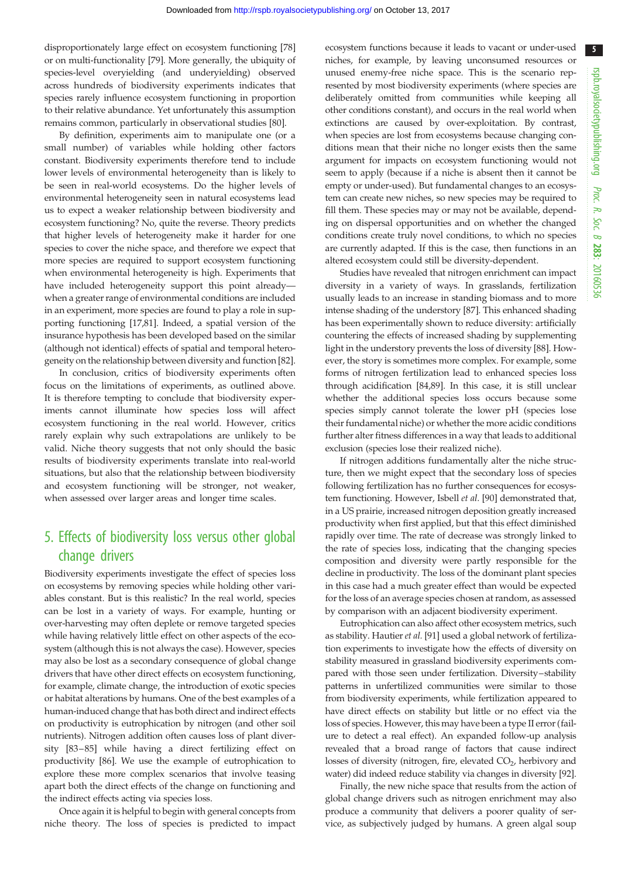5

disproportionately large effect on ecosystem functioning [[78\]](#page-7-0) or on multi-functionality [[79\]](#page-7-0). More generally, the ubiquity of species-level overyielding (and underyielding) observed across hundreds of biodiversity experiments indicates that species rarely influence ecosystem functioning in proportion to their relative abundance. Yet unfortunately this assumption remains common, particularly in observational studies [[80\]](#page-7-0).

By definition, experiments aim to manipulate one (or a small number) of variables while holding other factors constant. Biodiversity experiments therefore tend to include lower levels of environmental heterogeneity than is likely to be seen in real-world ecosystems. Do the higher levels of environmental heterogeneity seen in natural ecosystems lead us to expect a weaker relationship between biodiversity and ecosystem functioning? No, quite the reverse. Theory predicts that higher levels of heterogeneity make it harder for one species to cover the niche space, and therefore we expect that more species are required to support ecosystem functioning when environmental heterogeneity is high. Experiments that have included heterogeneity support this point already when a greater range of environmental conditions are included in an experiment, more species are found to play a role in supporting functioning [\[17](#page-6-0)[,81](#page-7-0)]. Indeed, a spatial version of the insurance hypothesis has been developed based on the similar (although not identical) effects of spatial and temporal heterogeneity on the relationship between diversity and function [\[82](#page-7-0)].

In conclusion, critics of biodiversity experiments often focus on the limitations of experiments, as outlined above. It is therefore tempting to conclude that biodiversity experiments cannot illuminate how species loss will affect ecosystem functioning in the real world. However, critics rarely explain why such extrapolations are unlikely to be valid. Niche theory suggests that not only should the basic results of biodiversity experiments translate into real-world situations, but also that the relationship between biodiversity and ecosystem functioning will be stronger, not weaker, when assessed over larger areas and longer time scales.

# 5. Effects of biodiversity loss versus other global change drivers

Biodiversity experiments investigate the effect of species loss on ecosystems by removing species while holding other variables constant. But is this realistic? In the real world, species can be lost in a variety of ways. For example, hunting or over-harvesting may often deplete or remove targeted species while having relatively little effect on other aspects of the ecosystem (although this is not always the case). However, species may also be lost as a secondary consequence of global change drivers that have other direct effects on ecosystem functioning, for example, climate change, the introduction of exotic species or habitat alterations by humans. One of the best examples of a human-induced change that has both direct and indirect effects on productivity is eutrophication by nitrogen (and other soil nutrients). Nitrogen addition often causes loss of plant diversity [\[83](#page-7-0)–[85](#page-7-0)] while having a direct fertilizing effect on productivity [\[86](#page-7-0)]. We use the example of eutrophication to explore these more complex scenarios that involve teasing apart both the direct effects of the change on functioning and the indirect effects acting via species loss.

Once again it is helpful to begin with general concepts from niche theory. The loss of species is predicted to impact ecosystem functions because it leads to vacant or under-used niches, for example, by leaving unconsumed resources or unused enemy-free niche space. This is the scenario represented by most biodiversity experiments (where species are deliberately omitted from communities while keeping all other conditions constant), and occurs in the real world when extinctions are caused by over-exploitation. By contrast, when species are lost from ecosystems because changing conditions mean that their niche no longer exists then the same argument for impacts on ecosystem functioning would not seem to apply (because if a niche is absent then it cannot be empty or under-used). But fundamental changes to an ecosystem can create new niches, so new species may be required to fill them. These species may or may not be available, depending on dispersal opportunities and on whether the changed conditions create truly novel conditions, to which no species are currently adapted. If this is the case, then functions in an altered ecosystem could still be diversity-dependent.

Studies have revealed that nitrogen enrichment can impact diversity in a variety of ways. In grasslands, fertilization usually leads to an increase in standing biomass and to more intense shading of the understory [\[87](#page-7-0)]. This enhanced shading has been experimentally shown to reduce diversity: artificially countering the effects of increased shading by supplementing light in the understory prevents the loss of diversity [\[88](#page-7-0)]. However, the story is sometimes more complex. For example, some forms of nitrogen fertilization lead to enhanced species loss through acidification [\[84,89](#page-7-0)]. In this case, it is still unclear whether the additional species loss occurs because some species simply cannot tolerate the lower pH (species lose their fundamental niche) or whether the more acidic conditions further alter fitness differences in a way that leads to additional exclusion (species lose their realized niche).

If nitrogen additions fundamentally alter the niche structure, then we might expect that the secondary loss of species following fertilization has no further consequences for ecosystem functioning. However, Isbell et al. [\[90](#page-7-0)] demonstrated that, in a US prairie, increased nitrogen deposition greatly increased productivity when first applied, but that this effect diminished rapidly over time. The rate of decrease was strongly linked to the rate of species loss, indicating that the changing species composition and diversity were partly responsible for the decline in productivity. The loss of the dominant plant species in this case had a much greater effect than would be expected for the loss of an average species chosen at random, as assessed by comparison with an adjacent biodiversity experiment.

Eutrophication can also affect other ecosystem metrics, such as stability. Hautier et al. [[91\]](#page-7-0) used a global network of fertilization experiments to investigate how the effects of diversity on stability measured in grassland biodiversity experiments compared with those seen under fertilization. Diversity–stability patterns in unfertilized communities were similar to those from biodiversity experiments, while fertilization appeared to have direct effects on stability but little or no effect via the loss of species. However, this may have been a type II error (failure to detect a real effect). An expanded follow-up analysis revealed that a broad range of factors that cause indirect losses of diversity (nitrogen, fire, elevated  $CO<sub>2</sub>$ , herbivory and water) did indeed reduce stability via changes in diversity [[92\]](#page-7-0).

Finally, the new niche space that results from the action of global change drivers such as nitrogen enrichment may also produce a community that delivers a poorer quality of service, as subjectively judged by humans. A green algal soup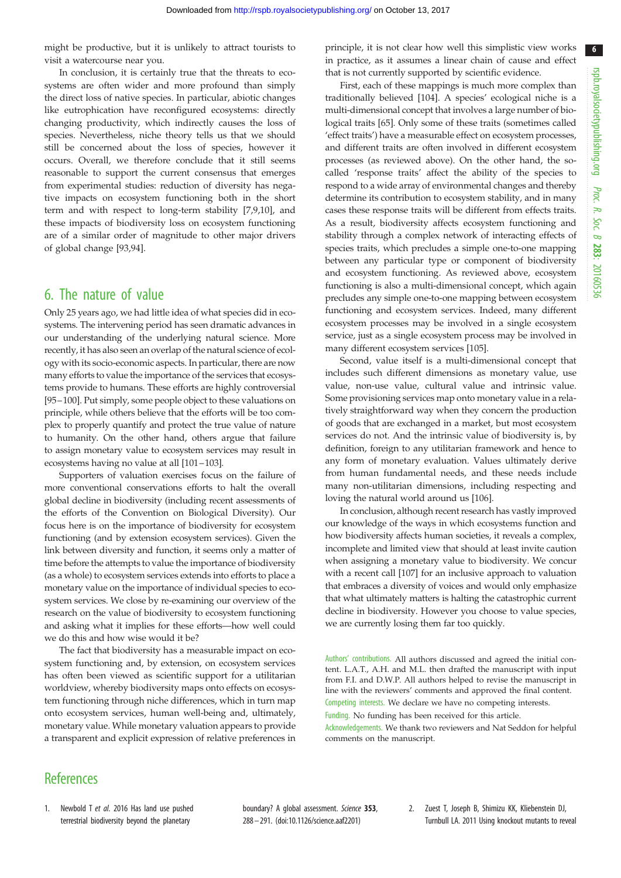<span id="page-5-0"></span>might be productive, but it is unlikely to attract tourists to visit a watercourse near you.

In conclusion, it is certainly true that the threats to ecosystems are often wider and more profound than simply the direct loss of native species. In particular, abiotic changes like eutrophication have reconfigured ecosystems: directly changing productivity, which indirectly causes the loss of species. Nevertheless, niche theory tells us that we should still be concerned about the loss of species, however it occurs. Overall, we therefore conclude that it still seems reasonable to support the current consensus that emerges from experimental studies: reduction of diversity has negative impacts on ecosystem functioning both in the short term and with respect to long-term stability [[7](#page-6-0),[9,10](#page-6-0)], and these impacts of biodiversity loss on ecosystem functioning are of a similar order of magnitude to other major drivers of global change [\[93](#page-7-0),[94\]](#page-7-0).

## 6. The nature of value

Only 25 years ago, we had little idea of what species did in ecosystems. The intervening period has seen dramatic advances in our understanding of the underlying natural science. More recently, it has also seen an overlap of the natural science of ecology with its socio-economic aspects. In particular, there are now many efforts to value the importance of the services that ecosystems provide to humans. These efforts are highly controversial [\[95](#page-8-0)–[100\]](#page-8-0). Put simply, some people object to these valuations on principle, while others believe that the efforts will be too complex to properly quantify and protect the true value of nature to humanity. On the other hand, others argue that failure to assign monetary value to ecosystem services may result in ecosystems having no value at all [\[101](#page-8-0)–[103\]](#page-8-0).

Supporters of valuation exercises focus on the failure of more conventional conservations efforts to halt the overall global decline in biodiversity (including recent assessments of the efforts of the Convention on Biological Diversity). Our focus here is on the importance of biodiversity for ecosystem functioning (and by extension ecosystem services). Given the link between diversity and function, it seems only a matter of time before the attempts to value the importance of biodiversity (as a whole) to ecosystem services extends into efforts to place a monetary value on the importance of individual species to ecosystem services. We close by re-examining our overview of the research on the value of biodiversity to ecosystem functioning and asking what it implies for these efforts—how well could we do this and how wise would it be?

The fact that biodiversity has a measurable impact on ecosystem functioning and, by extension, on ecosystem services has often been viewed as scientific support for a utilitarian worldview, whereby biodiversity maps onto effects on ecosystem functioning through niche differences, which in turn map onto ecosystem services, human well-being and, ultimately, monetary value. While monetary valuation appears to provide a transparent and explicit expression of relative preferences in

principle, it is not clear how well this simplistic view works in practice, as it assumes a linear chain of cause and effect that is not currently supported by scientific evidence.

First, each of these mappings is much more complex than traditionally believed [\[104\]](#page-8-0). A species' ecological niche is a multi-dimensional concept that involves a large number of biological traits [\[65](#page-7-0)]. Only some of these traits (sometimes called 'effect traits') have a measurable effect on ecosystem processes, and different traits are often involved in different ecosystem processes (as reviewed above). On the other hand, the socalled 'response traits' affect the ability of the species to respond to a wide array of environmental changes and thereby determine its contribution to ecosystem stability, and in many cases these response traits will be different from effects traits. As a result, biodiversity affects ecosystem functioning and stability through a complex network of interacting effects of species traits, which precludes a simple one-to-one mapping between any particular type or component of biodiversity and ecosystem functioning. As reviewed above, ecosystem functioning is also a multi-dimensional concept, which again precludes any simple one-to-one mapping between ecosystem functioning and ecosystem services. Indeed, many different ecosystem processes may be involved in a single ecosystem service, just as a single ecosystem process may be involved in many different ecosystem services [\[105\]](#page-8-0).

Second, value itself is a multi-dimensional concept that includes such different dimensions as monetary value, use value, non-use value, cultural value and intrinsic value. Some provisioning services map onto monetary value in a relatively straightforward way when they concern the production of goods that are exchanged in a market, but most ecosystem services do not. And the intrinsic value of biodiversity is, by definition, foreign to any utilitarian framework and hence to any form of monetary evaluation. Values ultimately derive from human fundamental needs, and these needs include many non-utilitarian dimensions, including respecting and loving the natural world around us [\[106\]](#page-8-0).

In conclusion, although recent research has vastly improved our knowledge of the ways in which ecosystems function and how biodiversity affects human societies, it reveals a complex, incomplete and limited view that should at least invite caution when assigning a monetary value to biodiversity. We concur with a recent call [[107](#page-8-0)] for an inclusive approach to valuation that embraces a diversity of voices and would only emphasize that what ultimately matters is halting the catastrophic current decline in biodiversity. However you choose to value species, we are currently losing them far too quickly.

Authors' contributions. All authors discussed and agreed the initial content. L.A.T., A.H. and M.L. then drafted the manuscript with input from F.I. and D.W.P. All authors helped to revise the manuscript in line with the reviewers' comments and approved the final content. Competing interests. We declare we have no competing interests.

Funding. No funding has been received for this article.

Acknowledgements. We thank two reviewers and Nat Seddon for helpful comments on the manuscript.

#### **References**

1. Newbold T et al. 2016 Has land use pushed terrestrial biodiversity beyond the planetary

boundary? A global assessment. Science 353, 288 – 291. [\(doi:10.1126/science.aaf2201\)](http://dx.doi.org/10.1126/science.aaf2201)

2. Zuest T, Joseph B, Shimizu KK, Kliebenstein DJ, Turnbull LA. 2011 Using knockout mutants to reveal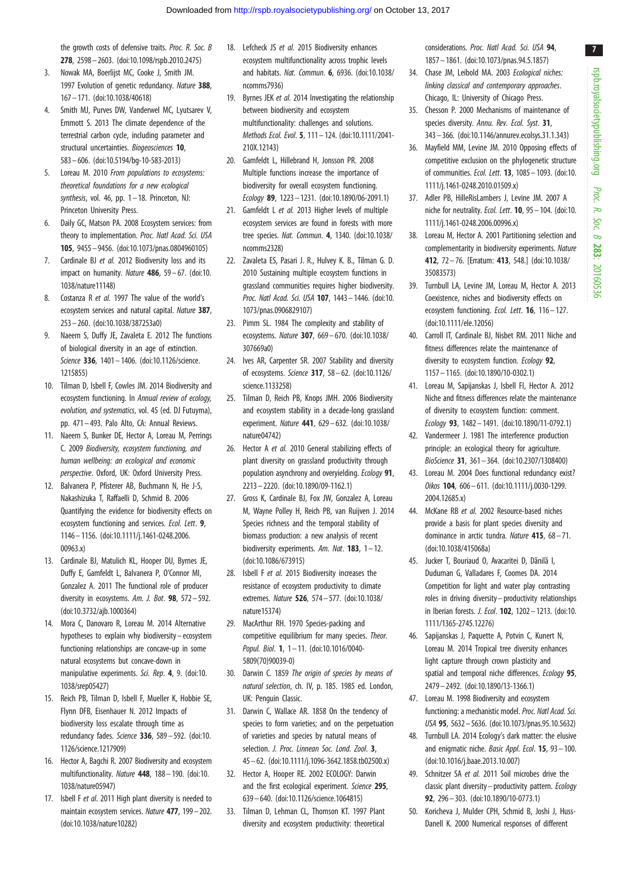<span id="page-6-0"></span>the growth costs of defensive traits. Proc. R. Soc. B 278, 2598– 2603. [\(doi:10.1098/rspb.2010.2475\)](http://dx.doi.org/10.1098/rspb.2010.2475)

- 3. Nowak MA, Boerlijst MC, Cooke J, Smith JM. 1997 Evolution of genetic redundancy. Nature 388, 167– 171. ([doi:10.1038/40618](http://dx.doi.org/10.1038/40618))
- 4. Smith MJ, Purves DW, Vanderwel MC, Lyutsarev V, Emmott S. 2013 The climate dependence of the terrestrial carbon cycle, including parameter and structural uncertainties. Biogeosciences 10, 583– 606. ([doi:10.5194/bg-10-583-2013\)](http://dx.doi.org/10.5194/bg-10-583-2013)
- 5. Loreau M. 2010 From populations to ecosystems: theoretical foundations for a new ecological synthesis, vol. 46, pp.  $1-18$ . Princeton, NJ: Princeton University Press.
- 6. Daily GC, Matson PA. 2008 Ecosystem services: from theory to implementation. Proc. Natl Acad. Sci. USA 105, 9455– 9456. [\(doi:10.1073/pnas.0804960105](http://dx.doi.org/10.1073/pnas.0804960105))
- 7. Cardinale BJ et al. 2012 Biodiversity loss and its impact on humanity. Nature  $486$ ,  $59 - 67$ . ([doi:10.](http://dx.doi.org/10.1038/nature11148) [1038/nature11148](http://dx.doi.org/10.1038/nature11148))
- 8. Costanza R et al. 1997 The value of the world's ecosystem services and natural capital. Nature 387, 253– 260. ([doi:10.1038/387253a0\)](http://dx.doi.org/10.1038/387253a0)
- 9. Naeem S, Duffy JE, Zavaleta E. 2012 The functions of biological diversity in an age of extinction. Science 336, 1401– 1406. [\(doi:10.1126/science.](http://dx.doi.org/10.1126/science.1215855) [1215855\)](http://dx.doi.org/10.1126/science.1215855)
- 10. Tilman D, Isbell F, Cowles JM. 2014 Biodiversity and ecosystem functioning. In Annual review of ecology, evolution, and systematics, vol. 45 (ed. DJ Futuyma), pp. 471 – 493. Palo Alto, CA: Annual Reviews.
- 11. Naeem S, Bunker DE, Hector A, Loreau M, Perrings C. 2009 Biodiversity, ecosystem functioning, and human wellbeing: an ecological and economic perspective. Oxford, UK: Oxford University Press.
- 12. Balvanera P, Pfisterer AB, Buchmann N, He J-S, Nakashizuka T, Raffaelli D, Schmid B. 2006 Quantifying the evidence for biodiversity effects on ecosystem functioning and services. Ecol. Lett. 9, 1146 – 1156. [\(doi:10.1111/j.1461-0248.2006.](http://dx.doi.org/10.1111/j.1461-0248.2006.00963.x) [00963.x\)](http://dx.doi.org/10.1111/j.1461-0248.2006.00963.x)
- 13. Cardinale BJ, Matulich KL, Hooper DU, Byrnes JE, Duffy E, Gamfeldt L, Balvanera P, O'Connor MI, Gonzalez A. 2011 The functional role of producer diversity in ecosystems. Am. J. Bot. **98**,  $572 - 592$ . [\(doi:10.3732/ajb.1000364\)](http://dx.doi.org/10.3732/ajb.1000364)
- 14. Mora C, Danovaro R, Loreau M. 2014 Alternative hypotheses to explain why biodiversity – ecosystem functioning relationships are concave-up in some natural ecosystems but concave-down in manipulative experiments. Sci. Rep. 4, 9. ([doi:10.](http://dx.doi.org/10.1038/srep05427) [1038/srep05427](http://dx.doi.org/10.1038/srep05427))
- 15. Reich PB, Tilman D, Isbell F, Mueller K, Hobbie SE, Flynn DFB, Eisenhauer N. 2012 Impacts of biodiversity loss escalate through time as redundancy fades. Science 336, 589-592. ([doi:10.](http://dx.doi.org/10.1126/science.1217909) [1126/science.1217909\)](http://dx.doi.org/10.1126/science.1217909)
- 16. Hector A, Bagchi R. 2007 Biodiversity and ecosystem multifunctionality. Nature 448, 188 – 190. ([doi:10.](http://dx.doi.org/10.1038/nature05947) [1038/nature05947](http://dx.doi.org/10.1038/nature05947))
- 17. Isbell F et al. 2011 High plant diversity is needed to maintain ecosystem services. Nature 477, 199– 202. [\(doi:10.1038/nature10282](http://dx.doi.org/10.1038/nature10282))
- 18. Lefcheck JS et al. 2015 Biodiversity enhances ecosystem multifunctionality across trophic levels and habitats. Nat. Commun. 6, 6936. [\(doi:10.1038/](http://dx.doi.org/10.1038/ncomms7936) [ncomms7936\)](http://dx.doi.org/10.1038/ncomms7936)
- 19. Byrnes JEK et al. 2014 Investigating the relationship between biodiversity and ecosystem multifunctionality: challenges and solutions. Methods Ecol. Evol. 5, 111– 124. [\(doi:10.1111/2041-](http://dx.doi.org/10.1111/2041-210X.12143) [210X.12143](http://dx.doi.org/10.1111/2041-210X.12143))
- 20. Gamfeldt L, Hillebrand H, Jonsson PR. 2008 Multiple functions increase the importance of biodiversity for overall ecosystem functioning. Ecology 89, 1223 – 1231. [\(doi:10.1890/06-2091.1\)](http://dx.doi.org/10.1890/06-2091.1)
- 21. Gamfeldt L et al. 2013 Higher levels of multiple ecosystem services are found in forests with more tree species. Nat. Commun. 4, 1340. ([doi:10.1038/](http://dx.doi.org/10.1038/ncomms2328) [ncomms2328\)](http://dx.doi.org/10.1038/ncomms2328)
- 22. Zavaleta ES, Pasari J. R., Hulvey K. B., Tilman G. D. 2010 Sustaining multiple ecosystem functions in grassland communities requires higher biodiversity. Proc. Natl Acad. Sci. USA 107, 1443– 1446. [\(doi:10.](http://dx.doi.org/10.1073/pnas.0906829107) [1073/pnas.0906829107](http://dx.doi.org/10.1073/pnas.0906829107))
- 23. Pimm SL. 1984 The complexity and stability of ecosystems. Nature 307, 669– 670. [\(doi:10.1038/](http://dx.doi.org/10.1038/307669a0) [307669a0\)](http://dx.doi.org/10.1038/307669a0)
- 24. Ives AR, Carpenter SR. 2007 Stability and diversity of ecosystems. Science 317, 58– 62. ([doi:10.1126/](http://dx.doi.org/10.1126/science.1133258) [science.1133258\)](http://dx.doi.org/10.1126/science.1133258)
- 25. Tilman D, Reich PB, Knops JMH. 2006 Biodiversity and ecosystem stability in a decade-long grassland experiment. Nature 441, 629 – 632. ([doi:10.1038/](http://dx.doi.org/10.1038/nature04742) [nature04742](http://dx.doi.org/10.1038/nature04742))
- 26. Hector A et al. 2010 General stabilizing effects of plant diversity on grassland productivity through population asynchrony and overyielding. Ecology 91, 2213– 2220. [\(doi:10.1890/09-1162.1](http://dx.doi.org/10.1890/09-1162.1))
- 27. Gross K, Cardinale BJ, Fox JW, Gonzalez A, Loreau M, Wayne Polley H, Reich PB, van Ruijven J. 2014 Species richness and the temporal stability of biomass production: a new analysis of recent biodiversity experiments. Am. Nat.  $183. 1 - 12$ . [\(doi:10.1086/673915\)](http://dx.doi.org/10.1086/673915)
- 28. Isbell F et al. 2015 Biodiversity increases the resistance of ecosystem productivity to climate extremes. Nature 526, 574– 577. ([doi:10.1038/](http://dx.doi.org/10.1038/nature15374) [nature15374](http://dx.doi.org/10.1038/nature15374))
- 29. MacArthur RH. 1970 Species-packing and competitive equilibrium for many species. Theor. Popul. Biol. **1**, 1-11. [\(doi:10.1016/0040-](http://dx.doi.org/10.1016/0040-5809(70)90039-0) [5809\(70\)90039-0](http://dx.doi.org/10.1016/0040-5809(70)90039-0))
- 30. Darwin C. 1859 The origin of species by means of natural selection, ch. IV, p. 185. 1985 ed. London, UK: Penguin Classic.
- 31. Darwin C, Wallace AR. 1858 On the tendency of species to form varieties; and on the perpetuation of varieties and species by natural means of selection. J. Proc. Linnean Soc. Lond. Zool. 3. 45 – 62. ([doi:10.1111/j.1096-3642.1858.tb02500.x](http://dx.doi.org/10.1111/j.1096-3642.1858.tb02500.x))
- 32. Hector A, Hooper RE. 2002 ECOLOGY: Darwin and the first ecological experiment. Science 295, 639 – 640. [\(doi:10.1126/science.1064815\)](http://dx.doi.org/10.1126/science.1064815)
- 33. Tilman D, Lehman CL, Thomson KT. 1997 Plant diversity and ecosystem productivity: theoretical

considerations. Proc. Natl Acad. Sci. USA 94, 1857– 1861. ([doi:10.1073/pnas.94.5.1857](http://dx.doi.org/10.1073/pnas.94.5.1857))

- 34. Chase JM, Leibold MA. 2003 Ecological niches: linking classical and contemporary approaches. Chicago, IL: University of Chicago Press.
- 35. Chesson P. 2000 Mechanisms of maintenance of species diversity. Annu. Rev. Ecol. Syst. 31, 343– 366. [\(doi:10.1146/annurev.ecolsys.31.1.343](http://dx.doi.org/10.1146/annurev.ecolsys.31.1.343))
- 36. Mayfield MM, Levine JM. 2010 Opposing effects of competitive exclusion on the phylogenetic structure of communities. Ecol. Lett. 13, 1085– 1093. [\(doi:10.](http://dx.doi.org/10.1111/j.1461-0248.2010.01509.x) [1111/j.1461-0248.2010.01509.x\)](http://dx.doi.org/10.1111/j.1461-0248.2010.01509.x)
- 37. Adler PB, HilleRisLambers J, Levine JM. 2007 A niche for neutrality. Ecol. Lett. 10, 95 – 104. [\(doi:10.](http://dx.doi.org/10.1111/j.1461-0248.2006.00996.x) [1111/j.1461-0248.2006.00996.x\)](http://dx.doi.org/10.1111/j.1461-0248.2006.00996.x)
- 38. Loreau M, Hector A. 2001 Partitioning selection and complementarity in biodiversity experiments. Nature 412, 72– 76. [Erratum: 413, 548.] ([doi:10.1038/](http://dx.doi.org/10.1038/35083573) [35083573\)](http://dx.doi.org/10.1038/35083573)
- 39. Turnbull LA, Levine JM, Loreau M, Hector A. 2013 Coexistence, niches and biodiversity effects on ecosystem functioning. Ecol. Lett. 16, 116– 127. ([doi:10.1111/ele.12056](http://dx.doi.org/10.1111/ele.12056))
- 40. Carroll IT, Cardinale BJ, Nisbet RM. 2011 Niche and fitness differences relate the maintenance of diversity to ecosystem function. Ecology 92. 1157– 1165. ([doi:10.1890/10-0302.1](http://dx.doi.org/10.1890/10-0302.1))
- 41. Loreau M, Sapijanskas J, Isbell FI, Hector A. 2012 Niche and fitness differences relate the maintenance of diversity to ecosystem function: comment. Ecology 93, 1482– 1491. [\(doi:10.1890/11-0792.1\)](http://dx.doi.org/10.1890/11-0792.1)
- 42. Vandermeer J. 1981 The interference production principle: an ecological theory for agriculture. BioScience 31, 361– 364. ([doi:10.2307/1308400](http://dx.doi.org/10.2307/1308400))
- 43. Loreau M. 2004 Does functional redundancy exist? Oikos 104, 606– 611. [\(doi:10.1111/j.0030-1299.](http://dx.doi.org/10.1111/j.0030-1299.2004.12685.x) [2004.12685.x](http://dx.doi.org/10.1111/j.0030-1299.2004.12685.x))
- 44. McKane RB et al. 2002 Resource-based niches provide a basis for plant species diversity and dominance in arctic tundra. Nature 415, 68 – 71. ([doi:10.1038/415068a\)](http://dx.doi.org/10.1038/415068a)
- 45. Jucker T, Bouriaud O, Avacaritei D, Dănilă I, Duduman G, Valladares F, Coomes DA. 2014 Competition for light and water play contrasting roles in driving diversity – productivity relationships in Iberian forests. J. Ecol. 102, 1202 – 1213. [\(doi:10.](http://dx.doi.org/10.1111/1365-2745.12276) [1111/1365-2745.12276\)](http://dx.doi.org/10.1111/1365-2745.12276)
- 46. Sapijanskas J, Paquette A, Potvin C, Kunert N, Loreau M. 2014 Tropical tree diversity enhances light capture through crown plasticity and spatial and temporal niche differences. Ecology 95, 2479– 2492. ([doi:10.1890/13-1366.1](http://dx.doi.org/10.1890/13-1366.1))
- 47. Loreau M. 1998 Biodiversity and ecosystem functioning: a mechanistic model. Proc. Natl Acad. Sci. USA 95, 5632–5636. ([doi:10.1073/pnas.95.10.5632\)](http://dx.doi.org/10.1073/pnas.95.10.5632)
- 48. Turnbull LA. 2014 Ecology's dark matter: the elusive and enigmatic niche. Basic Appl. Ecol. 15, 93 – 100. ([doi:10.1016/j.baae.2013.10.007](http://dx.doi.org/10.1016/j.baae.2013.10.007))
- 49. Schnitzer SA et al. 2011 Soil microbes drive the classic plant diversity – productivity pattern. Ecology 92, 296 – 303. [\(doi:10.1890/10-0773.1\)](http://dx.doi.org/10.1890/10-0773.1)
- 50. Koricheva J, Mulder CPH, Schmid B, Joshi J, Huss-Danell K. 2000 Numerical responses of different

7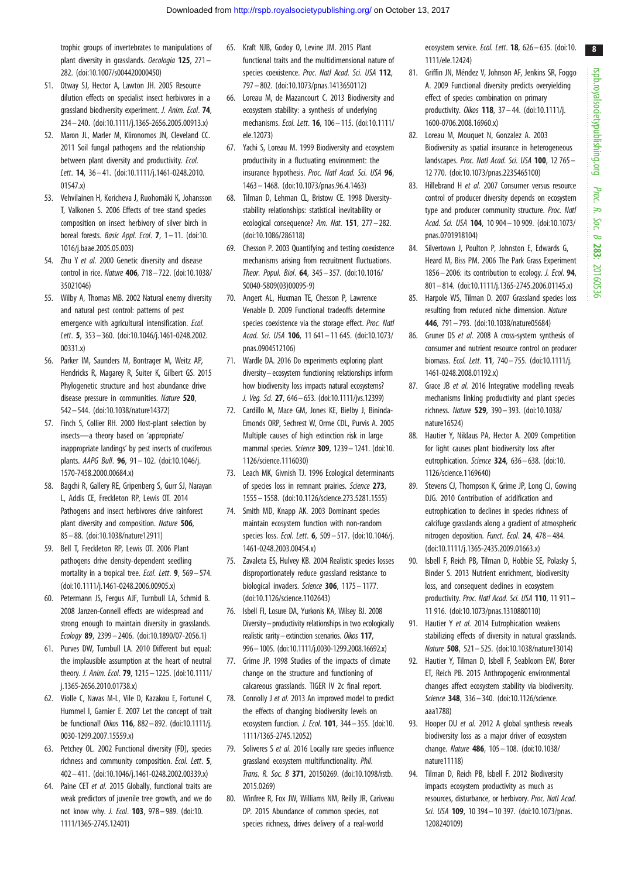<span id="page-7-0"></span>trophic groups of invertebrates to manipulations of plant diversity in grasslands. Oecologia 125, 271-282. [\(doi:10.1007/s004420000450\)](http://dx.doi.org/10.1007/s004420000450)

- 51. Otway SJ, Hector A, Lawton JH. 2005 Resource dilution effects on specialist insect herbivores in a grassland biodiversity experiment. J. Anim. Ecol. 74, 234– 240. ([doi:10.1111/j.1365-2656.2005.00913.x](http://dx.doi.org/10.1111/j.1365-2656.2005.00913.x))
- 52. Maron JL, Marler M, Klironomos JN, Cleveland CC. 2011 Soil fungal pathogens and the relationship between plant diversity and productivity. Ecol. Lett. **14**, 36-41. ([doi:10.1111/j.1461-0248.2010.](http://dx.doi.org/10.1111/j.1461-0248.2010.01547.x) [01547.x\)](http://dx.doi.org/10.1111/j.1461-0248.2010.01547.x)
- 53. Vehvilainen H, Koricheva J, Ruohomäki K, Johansson T, Valkonen S. 2006 Effects of tree stand species composition on insect herbivory of silver birch in boreal forests. Basic Appl. Ecol. 7, 1-11. ([doi:10.](http://dx.doi.org/10.1016/j.baae.2005.05.003) [1016/j.baae.2005.05.003\)](http://dx.doi.org/10.1016/j.baae.2005.05.003)
- 54. Zhu Y et al. 2000 Genetic diversity and disease control in rice. Nature 406, 718 – 722. ([doi:10.1038/](http://dx.doi.org/10.1038/35021046) [35021046](http://dx.doi.org/10.1038/35021046))
- 55. Wilby A, Thomas MB. 2002 Natural enemy diversity and natural pest control: patterns of pest emergence with agricultural intensification. Ecol. Lett. 5, 353– 360. ([doi:10.1046/j.1461-0248.2002.](http://dx.doi.org/10.1046/j.1461-0248.2002.00331.x) [00331.x\)](http://dx.doi.org/10.1046/j.1461-0248.2002.00331.x)
- 56. Parker IM, Saunders M, Bontrager M, Weitz AP, Hendricks R, Magarey R, Suiter K, Gilbert GS. 2015 Phylogenetic structure and host abundance drive disease pressure in communities. Nature 520. 542– 544. ([doi:10.1038/nature14372](http://dx.doi.org/10.1038/nature14372))
- 57. Finch S, Collier RH. 2000 Host-plant selection by insects—a theory based on 'appropriate/ inappropriate landings' by pest insects of cruciferous plants. AAPG Bull. 96, 91– 102. ([doi:10.1046/j.](http://dx.doi.org/10.1046/j.1570-7458.2000.00684.x) [1570-7458.2000.00684.x\)](http://dx.doi.org/10.1046/j.1570-7458.2000.00684.x)
- 58. Bagchi R, Gallery RE, Gripenberg S, Gurr SJ, Narayan L, Addis CE, Freckleton RP, Lewis OT. 2014 Pathogens and insect herbivores drive rainforest plant diversity and composition. Nature 506, 85 – 88. ([doi:10.1038/nature12911\)](http://dx.doi.org/10.1038/nature12911)
- 59. Bell T, Freckleton RP, Lewis OT. 2006 Plant pathogens drive density-dependent seedling mortality in a tropical tree. Ecol. Lett. 9, 569 - 574. [\(doi:10.1111/j.1461-0248.2006.00905.x](http://dx.doi.org/10.1111/j.1461-0248.2006.00905.x))
- 60. Petermann JS, Fergus AJF, Turnbull LA, Schmid B. 2008 Janzen-Connell effects are widespread and strong enough to maintain diversity in grasslands. Ecology 89, 2399 – 2406. ([doi:10.1890/07-2056.1\)](http://dx.doi.org/10.1890/07-2056.1)
- 61. Purves DW, Turnbull LA. 2010 Different but equal: the implausible assumption at the heart of neutral theory. J. Anim. Ecol. 79, 1215– 1225. ([doi:10.1111/](http://dx.doi.org/10.1111/j.1365-2656.2010.01738.x) [j.1365-2656.2010.01738.x](http://dx.doi.org/10.1111/j.1365-2656.2010.01738.x))
- 62. Violle C, Navas M-L, Vile D, Kazakou E, Fortunel C, Hummel I, Garnier E. 2007 Let the concept of trait be functional! Oikos 116, 882– 892. [\(doi:10.1111/j.](http://dx.doi.org/10.1111/j.0030-1299.2007.15559.x) [0030-1299.2007.15559.x\)](http://dx.doi.org/10.1111/j.0030-1299.2007.15559.x)
- 63. Petchey OL. 2002 Functional diversity (FD), species richness and community composition. Ecol. Lett. 5, 402– 411. ([doi:10.1046/j.1461-0248.2002.00339.x](http://dx.doi.org/10.1046/j.1461-0248.2002.00339.x))
- 64. Paine CET et al. 2015 Globally, functional traits are weak predictors of juvenile tree growth, and we do not know why. J. Ecol. 103, 978 – 989. ([doi:10.](http://dx.doi.org/10.1111/1365-2745.12401) [1111/1365-2745.12401](http://dx.doi.org/10.1111/1365-2745.12401))
- 65. Kraft NJB, Godoy O, Levine JM. 2015 Plant functional traits and the multidimensional nature of species coexistence. Proc. Natl Acad. Sci. USA 112, 797 – 802. [\(doi:10.1073/pnas.1413650112](http://dx.doi.org/10.1073/pnas.1413650112))
- 66. Loreau M, de Mazancourt C. 2013 Biodiversity and ecosystem stability: a synthesis of underlying mechanisms. Ecol. Lett. 16, 106– 115. [\(doi:10.1111/](http://dx.doi.org/10.1111/ele.12073) [ele.12073\)](http://dx.doi.org/10.1111/ele.12073)
- 67. Yachi S, Loreau M. 1999 Biodiversity and ecosystem productivity in a fluctuating environment: the insurance hypothesis. Proc. Natl Acad. Sci. USA 96, 1463– 1468. [\(doi:10.1073/pnas.96.4.1463](http://dx.doi.org/10.1073/pnas.96.4.1463))
- 68. Tilman D, Lehman CL, Bristow CE. 1998 Diversitystability relationships: statistical inevitability or ecological consequence? Am. Nat. 151, 277– 282. [\(doi:10.1086/286118\)](http://dx.doi.org/10.1086/286118)
- 69. Chesson P. 2003 Quantifying and testing coexistence mechanisms arising from recruitment fluctuations. Theor. Popul. Biol. 64, 345 – 357. ([doi:10.1016/](http://dx.doi.org/10.1016/S0040-5809(03)00095-9) [S0040-5809\(03\)00095-9](http://dx.doi.org/10.1016/S0040-5809(03)00095-9))
- 70. Angert AL, Huxman TE, Chesson P, Lawrence Venable D. 2009 Functional tradeoffs determine species coexistence via the storage effect. Proc. Natl Acad. Sci. USA 106, 11 641– 11 645. ([doi:10.1073/](http://dx.doi.org/10.1073/pnas.0904512106) [pnas.0904512106](http://dx.doi.org/10.1073/pnas.0904512106))
- 71. Wardle DA. 2016 Do experiments exploring plant diversity– ecosystem functioning relationships inform how biodiversity loss impacts natural ecosystems? J. Veg. Sci. 27, 646–653. [\(doi:10.1111/jvs.12399\)](http://dx.doi.org/10.1111/jvs.12399)
- 72. Cardillo M, Mace GM, Jones KE, Bielby J, Bininda-Emonds ORP, Sechrest W, Orme CDL, Purvis A. 2005 Multiple causes of high extinction risk in large mammal species. Science 309, 1239– 1241. [\(doi:10.](http://dx.doi.org/10.1126/science.1116030) [1126/science.1116030](http://dx.doi.org/10.1126/science.1116030))
- 73. Leach MK, Givnish TJ. 1996 Ecological determinants of species loss in remnant prairies. Science 273, 1555 – 1558. [\(doi:10.1126/science.273.5281.1555](http://dx.doi.org/10.1126/science.273.5281.1555))
- 74. Smith MD, Knapp AK. 2003 Dominant species maintain ecosystem function with non-random species loss. Ecol. Lett. 6, 509 – 517. [\(doi:10.1046/j.](http://dx.doi.org/10.1046/j.1461-0248.2003.00454.x) [1461-0248.2003.00454.x\)](http://dx.doi.org/10.1046/j.1461-0248.2003.00454.x)
- 75. Zavaleta ES, Hulvey KB. 2004 Realistic species losses disproportionately reduce grassland resistance to biological invaders. Science 306, 1175-1177. [\(doi:10.1126/science.1102643](http://dx.doi.org/10.1126/science.1102643))
- 76. Isbell FI, Losure DA, Yurkonis KA, Wilsey BJ. 2008 Diversity–productivity relationships in two ecologically realistic rarity–extinction scenarios. Oikos 117, 996–1005. [\(doi:10.1111/j.0030-1299.2008.16692.x\)](http://dx.doi.org/10.1111/j.0030-1299.2008.16692.x)
- 77. Grime JP. 1998 Studies of the impacts of climate change on the structure and functioning of calcareous grasslands. TIGER IV 2c final report.
- 78. Connolly J et al. 2013 An improved model to predict the effects of changing biodiversity levels on ecosystem function. J. Ecol. 101, 344 – 355. [\(doi:10.](http://dx.doi.org/10.1111/1365-2745.12052) [1111/1365-2745.12052\)](http://dx.doi.org/10.1111/1365-2745.12052)
- 79. Soliveres S et al. 2016 Locally rare species influence grassland ecosystem multifunctionality. Phil. Trans. R. Soc. B 371, 20150269. [\(doi:10.1098/rstb.](http://dx.doi.org/10.1098/rstb.2015.0269) [2015.0269\)](http://dx.doi.org/10.1098/rstb.2015.0269)
- 80. Winfree R, Fox JW, Williams NM, Reilly JR, Cariveau DP. 2015 Abundance of common species, not species richness, drives delivery of a real-world

ecosystem service. Ecol. Lett. 18, 626-635. [\(doi:10.](http://dx.doi.org/10.1111/ele.12424) [1111/ele.12424](http://dx.doi.org/10.1111/ele.12424))

- 81. Griffin JN, Méndez V, Johnson AF, Jenkins SR, Foggo A. 2009 Functional diversity predicts overyielding effect of species combination on primary productivity. Oikos 118, 37– 44. ([doi:10.1111/j.](http://dx.doi.org/10.1111/j.1600-0706.2008.16960.x) [1600-0706.2008.16960.x\)](http://dx.doi.org/10.1111/j.1600-0706.2008.16960.x)
- 82. Loreau M, Mouquet N, Gonzalez A. 2003 Biodiversity as spatial insurance in heterogeneous landscapes. Proc. Natl Acad. Sci. USA 100, 12 765 -12 770. [\(doi:10.1073/pnas.2235465100](http://dx.doi.org/10.1073/pnas.2235465100))
- 83. Hillebrand H et al. 2007 Consumer versus resource control of producer diversity depends on ecosystem type and producer community structure. Proc. Natl Acad. Sci. USA 104, 10 904– 10 909. [\(doi:10.1073/](http://dx.doi.org/10.1073/pnas.0701918104) [pnas.0701918104\)](http://dx.doi.org/10.1073/pnas.0701918104)
- 84. Silvertown J, Poulton P, Johnston E, Edwards G, Heard M, Biss PM. 2006 The Park Grass Experiment 1856–2006: its contribution to ecology. *J. Ecol.* **94**, 801– 814. [\(doi:10.1111/j.1365-2745.2006.01145.x\)](http://dx.doi.org/10.1111/j.1365-2745.2006.01145.x)
- 85. Harpole WS, Tilman D. 2007 Grassland species loss resulting from reduced niche dimension. Nature 446, 791– 793. [\(doi:10.1038/nature05684](http://dx.doi.org/10.1038/nature05684))
- 86. Gruner DS et al. 2008 A cross-system synthesis of consumer and nutrient resource control on producer biomass. Ecol. Lett. 11, 740– 755. [\(doi:10.1111/j.](http://dx.doi.org/10.1111/j.1461-0248.2008.01192.x) [1461-0248.2008.01192.x\)](http://dx.doi.org/10.1111/j.1461-0248.2008.01192.x)
- 87. Grace JB et al. 2016 Integrative modelling reveals mechanisms linking productivity and plant species richness. Nature 529, 390– 393. [\(doi:10.1038/](http://dx.doi.org/10.1038/nature16524) [nature16524](http://dx.doi.org/10.1038/nature16524))
- 88. Hautier Y, Niklaus PA, Hector A. 2009 Competition for light causes plant biodiversity loss after eutrophication. Science 324, 636-638. [\(doi:10.](http://dx.doi.org/10.1126/science.1169640) [1126/science.1169640](http://dx.doi.org/10.1126/science.1169640))
- 89. Stevens CJ, Thompson K, Grime JP, Long CJ, Gowing DJG. 2010 Contribution of acidification and eutrophication to declines in species richness of calcifuge grasslands along a gradient of atmospheric nitrogen deposition. Funct. Ecol. 24, 478-484. ([doi:10.1111/j.1365-2435.2009.01663.x\)](http://dx.doi.org/10.1111/j.1365-2435.2009.01663.x)
- 90. Isbell F, Reich PB, Tilman D, Hobbie SE, Polasky S, Binder S. 2013 Nutrient enrichment, biodiversity loss, and consequent declines in ecosystem productivity. Proc. Natl Acad. Sci. USA 110, 11 911-11 916. [\(doi:10.1073/pnas.1310880110](http://dx.doi.org/10.1073/pnas.1310880110))
- 91. Hautier Y et al. 2014 Eutrophication weakens stabilizing effects of diversity in natural grasslands. Nature 508, 521– 525. [\(doi:10.1038/nature13014\)](http://dx.doi.org/10.1038/nature13014)
- 92. Hautier Y, Tilman D, Isbell F, Seabloom EW, Borer ET, Reich PB. 2015 Anthropogenic environmental changes affect ecosystem stability via biodiversity. Science 348, 336-340. [\(doi:10.1126/science.](http://dx.doi.org/10.1126/science.aaa1788) [aaa1788\)](http://dx.doi.org/10.1126/science.aaa1788)
- 93. Hooper DU et al. 2012 A global synthesis reveals biodiversity loss as a major driver of ecosystem change. Nature 486, 105– 108. [\(doi:10.1038/](http://dx.doi.org/10.1038/nature11118) [nature11118](http://dx.doi.org/10.1038/nature11118))
- 94. Tilman D, Reich PB, Isbell F. 2012 Biodiversity impacts ecosystem productivity as much as resources, disturbance, or herbivory. Proc. Natl Acad. Sci. USA 109, 10 394 - 10 397. ([doi:10.1073/pnas.](http://dx.doi.org/10.1073/pnas.1208240109) [1208240109](http://dx.doi.org/10.1073/pnas.1208240109))